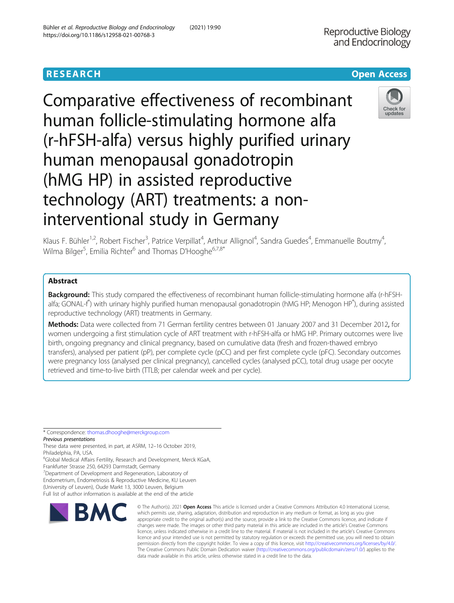# **RESEARCH CHINESE ARCH CHINESE ARCHITECT AND ACCESS**

Comparative effectiveness of recombinant human follicle-stimulating hormone alfa (r-hFSH-alfa) versus highly purified urinary human menopausal gonadotropin (hMG HP) in assisted reproductive technology (ART) treatments: a noninterventional study in Germany



Klaus F. Bühler<sup>1,2</sup>, Robert Fischer<sup>3</sup>, Patrice Verpillat<sup>4</sup>, Arthur Allignol<sup>4</sup>, Sandra Guedes<sup>4</sup>, Emmanuelle Boutmy<sup>4</sup> , Wilma Bilger<sup>5</sup>, Emilia Richter<sup>6</sup> and Thomas D'Hooghe<sup>6,7,8\*</sup>

## Abstract

Background: This study compared the effectiveness of recombinant human follicle-stimulating hormone alfa (r-hFSHalfa; GONAL-f°) with urinary highly purified human menopausal gonadotropin (hMG HP; Menogon HP®), during assisted reproductive technology (ART) treatments in Germany.

Methods: Data were collected from 71 German fertility centres between 01 January 2007 and 31 December 2012, for women undergoing a first stimulation cycle of ART treatment with r-hFSH-alfa or hMG HP. Primary outcomes were live birth, ongoing pregnancy and clinical pregnancy, based on cumulative data (fresh and frozen-thawed embryo transfers), analysed per patient (pP), per complete cycle (pCC) and per first complete cycle (pFC). Secondary outcomes were pregnancy loss (analysed per clinical pregnancy), cancelled cycles (analysed pCC), total drug usage per oocyte retrieved and time-to-live birth (TTLB; per calendar week and per cycle).

\* Correspondence: [thomas.dhooghe@merckgroup.com](mailto:thomas.dhooghe@merckgroup.com)

Previous presentations

These data were presented, in part, at ASRM, 12–16 October 2019, Philadelphia, PA, USA.

6 Global Medical Affairs Fertility, Research and Development, Merck KGaA, Frankfurter Strasse 250, 64293 Darmstadt, Germany

7 Department of Development and Regeneration, Laboratory of

Endometrium, Endometriosis & Reproductive Medicine, KU Leuven

(University of Leuven), Oude Markt 13, 3000 Leuven, Belgium Full list of author information is available at the end of the article



© The Author(s), 2021 **Open Access** This article is licensed under a Creative Commons Attribution 4.0 International License, which permits use, sharing, adaptation, distribution and reproduction in any medium or format, as long as you give appropriate credit to the original author(s) and the source, provide a link to the Creative Commons licence, and indicate if changes were made. The images or other third party material in this article are included in the article's Creative Commons licence, unless indicated otherwise in a credit line to the material. If material is not included in the article's Creative Commons licence and your intended use is not permitted by statutory regulation or exceeds the permitted use, you will need to obtain permission directly from the copyright holder. To view a copy of this licence, visit [http://creativecommons.org/licenses/by/4.0/.](http://creativecommons.org/licenses/by/4.0/) The Creative Commons Public Domain Dedication waiver [\(http://creativecommons.org/publicdomain/zero/1.0/](http://creativecommons.org/publicdomain/zero/1.0/)) applies to the data made available in this article, unless otherwise stated in a credit line to the data.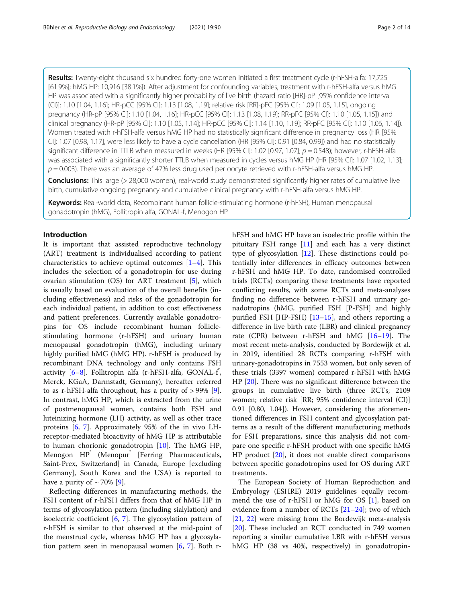Results: Twenty-eight thousand six hundred forty-one women initiated a first treatment cycle (r-hFSH-alfa: 17,725 [61.9%]; hMG HP: 10,916 [38.1%]). After adjustment for confounding variables, treatment with r-hFSH-alfa versus hMG HP was associated with a significantly higher probability of live birth (hazard ratio [HR]-pP [95% confidence interval (CI)]: 1.10 [1.04, 1.16]; HR-pCC [95% CI]: 1.13 [1.08, 1.19]; relative risk [RR]-pFC [95% CI]: 1.09 [1.05, 1.15], ongoing pregnancy (HR-pP [95% CI]: 1.10 [1.04, 1.16]; HR-pCC [95% CI]: 1.13 [1.08, 1.19]; RR-pFC [95% CI]: 1.10 [1.05, 1.15]) and clinical pregnancy (HR-pP [95% CI]: 1.10 [1.05, 1.14]; HR-pCC [95% CI]: 1.14 [1.10, 1.19]; RR-pFC [95% CI]: 1.10 [1.06, 1.14]). Women treated with r-hFSH-alfa versus hMG HP had no statistically significant difference in pregnancy loss (HR [95% CI]: 1.07 [0.98, 1.17], were less likely to have a cycle cancellation (HR [95% CI]: 0.91 [0.84, 0.99]) and had no statistically significant difference in TTLB when measured in weeks (HR [95% CI]: 1.02 [0.97, 1.07];  $p = 0.548$ ); however, r-hFSH-alfa was associated with a significantly shorter TTLB when measured in cycles versus hMG HP (HR [95% CI]: 1.07 [1.02, 1.13];  $p = 0.003$ ). There was an average of 47% less drug used per oocyte retrieved with r-hFSH-alfa versus hMG HP.

**Conclusions:** This large (> 28,000 women), real-world study demonstrated significantly higher rates of cumulative live birth, cumulative ongoing pregnancy and cumulative clinical pregnancy with r-hFSH-alfa versus hMG HP.

Keywords: Real-world data, Recombinant human follicle-stimulating hormone (r-hFSH), Human menopausal gonadotropin (hMG), Follitropin alfa, GONAL-f, Menogon HP

### Introduction

It is important that assisted reproductive technology (ART) treatment is individualised according to patient characteristics to achieve optimal outcomes  $[1-4]$  $[1-4]$  $[1-4]$ . This includes the selection of a gonadotropin for use during ovarian stimulation (OS) for ART treatment [[5\]](#page-12-0), which is usually based on evaluation of the overall benefits (including effectiveness) and risks of the gonadotropin for each individual patient, in addition to cost effectiveness and patient preferences. Currently available gonadotropins for OS include recombinant human folliclestimulating hormone (r-hFSH) and urinary human menopausal gonadotropin (hMG), including urinary highly purified hMG (hMG HP). r-hFSH is produced by recombinant DNA technology and only contains FSH activity [[6](#page-12-0)-[8\]](#page-12-0). Follitropin alfa (r-hFSH-alfa, GONAL-f<sup>°</sup>, Merck, KGaA, Darmstadt, Germany), hereafter referred to as r-hFSH-alfa throughout, has a purity of > 99% [\[9](#page-12-0)]. In contrast, hMG HP, which is extracted from the urine of postmenopausal women, contains both FSH and luteinizing hormone (LH) activity, as well as other trace proteins [[6,](#page-12-0) [7](#page-12-0)]. Approximately 95% of the in vivo LHreceptor-mediated bioactivity of hMG HP is attributable to human chorionic gonadotropin [[10](#page-12-0)]. The hMG HP, Menogon HP<sup>®</sup> (Menopur<sup>®</sup> [Ferring Pharmaceuticals, Saint-Prex, Switzerland] in Canada, Europe [excluding Germany], South Korea and the USA) is reported to have a purity of  $\sim$  70% [[9\]](#page-12-0).

Reflecting differences in manufacturing methods, the FSH content of r-hFSH differs from that of hMG HP in terms of glycosylation pattern (including sialylation) and isoelectric coefficient [[6,](#page-12-0) [7](#page-12-0)]. The glycosylation pattern of r-hFSH is similar to that observed at the mid-point of the menstrual cycle, whereas hMG HP has a glycosylation pattern seen in menopausal women [\[6](#page-12-0), [7](#page-12-0)]. Both rhFSH and hMG HP have an isoelectric profile within the pituitary FSH range [\[11](#page-12-0)] and each has a very distinct type of glycosylation [\[12](#page-12-0)]. These distinctions could potentially infer differences in efficacy outcomes between r-hFSH and hMG HP. To date, randomised controlled trials (RCTs) comparing these treatments have reported conflicting results, with some RCTs and meta-analyses finding no difference between r-hFSH and urinary gonadotropins (hMG, purified FSH [P-FSH] and highly purified FSH [HP-FSH)  $[13-15]$  $[13-15]$  $[13-15]$  $[13-15]$  $[13-15]$ , and others reporting a difference in live birth rate (LBR) and clinical pregnancy rate (CPR) between r-hFSH and hMG [\[16](#page-12-0)–[19\]](#page-12-0). The most recent meta-analysis, conducted by Bordewijk et al. in 2019, identified 28 RCTs comparing r-hFSH with urinary-gonadotropins in 7553 women, but only seven of these trials (3397 women) compared r-hFSH with hMG HP [[20\]](#page-12-0). There was no significant difference between the groups in cumulative live birth (three RCTs; 2109 women; relative risk [RR; 95% confidence interval (CI)] 0.91 [0.80, 1.04]). However, considering the aforementioned differences in FSH content and glycosylation patterns as a result of the different manufacturing methods for FSH preparations, since this analysis did not compare one specific r-hFSH product with one specific hMG HP product [[20\]](#page-12-0), it does not enable direct comparisons between specific gonadotropins used for OS during ART treatments.

The European Society of Human Reproduction and Embryology (ESHRE) 2019 guidelines equally recommend the use of r-hFSH or hMG for OS [[1\]](#page-11-0), based on evidence from a number of RCTs  $[21-24]$  $[21-24]$  $[21-24]$ ; two of which [[21,](#page-12-0) [22](#page-12-0)] were missing from the Bordewijk meta-analysis [[20\]](#page-12-0). These included an RCT conducted in 749 women reporting a similar cumulative LBR with r-hFSH versus hMG HP (38 vs 40%, respectively) in gonadotropin-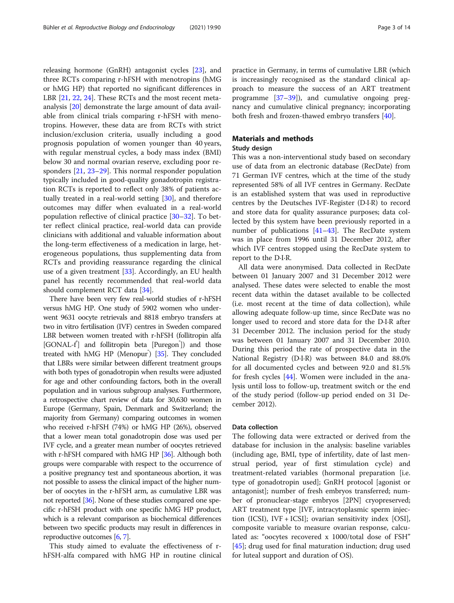releasing hormone (GnRH) antagonist cycles [[23](#page-12-0)], and three RCTs comparing r-hFSH with menotropins (hMG or hMG HP) that reported no significant differences in LBR [\[21](#page-12-0), [22,](#page-12-0) [24\]](#page-12-0). These RCTs and the most recent metaanalysis [\[20\]](#page-12-0) demonstrate the large amount of data available from clinical trials comparing r-hFSH with menotropins. However, these data are from RCTs with strict inclusion/exclusion criteria, usually including a good prognosis population of women younger than 40 years, with regular menstrual cycles, a body mass index (BMI) below 30 and normal ovarian reserve, excluding poor responders [[21](#page-12-0), [23](#page-12-0)–[29](#page-12-0)]. This normal responder population typically included in good-quality gonadotropin registration RCTs is reported to reflect only 38% of patients actually treated in a real-world setting [[30](#page-12-0)], and therefore outcomes may differ when evaluated in a real-world population reflective of clinical practice [\[30](#page-12-0)–[32](#page-12-0)]. To better reflect clinical practice, real-world data can provide clinicians with additional and valuable information about the long-term effectiveness of a medication in large, heterogeneous populations, thus supplementing data from RCTs and providing reassurance regarding the clinical use of a given treatment [\[33](#page-12-0)]. Accordingly, an EU health panel has recently recommended that real-world data should complement RCT data [\[34](#page-12-0)].

There have been very few real-world studies of r-hFSH versus hMG HP. One study of 5902 women who underwent 9631 oocyte retrievals and 8818 embryo transfers at two in vitro fertilisation (IVF) centres in Sweden compared LBR between women treated with r-hFSH (follitropin alfa [GONAL-f<sup>'</sup>] and follitropin beta [Puregon<sup>'</sup>]) and those treated with hMG HP (Menopur<sup>®</sup>) [\[35\]](#page-12-0). They concluded that LBRs were similar between different treatment groups with both types of gonadotropin when results were adjusted for age and other confounding factors, both in the overall population and in various subgroup analyses. Furthermore, a retrospective chart review of data for 30,630 women in Europe (Germany, Spain, Denmark and Switzerland; the majority from Germany) comparing outcomes in women who received r-hFSH (74%) or hMG HP (26%), observed that a lower mean total gonadotropin dose was used per IVF cycle, and a greater mean number of oocytes retrieved with r-hFSH compared with hMG HP [\[36](#page-12-0)]. Although both groups were comparable with respect to the occurrence of a positive pregnancy test and spontaneous abortion, it was not possible to assess the clinical impact of the higher number of oocytes in the r-hFSH arm, as cumulative LBR was not reported [\[36\]](#page-12-0). None of these studies compared one specific r-hFSH product with one specific hMG HP product, which is a relevant comparison as biochemical differences between two specific products may result in differences in reproductive outcomes [\[6,](#page-12-0) [7](#page-12-0)].

This study aimed to evaluate the effectiveness of rhFSH-alfa compared with hMG HP in routine clinical practice in Germany, in terms of cumulative LBR (which is increasingly recognised as the standard clinical approach to measure the success of an ART treatment programme [\[37](#page-12-0)–[39\]](#page-12-0)), and cumulative ongoing pregnancy and cumulative clinical pregnancy; incorporating both fresh and frozen-thawed embryo transfers [\[40\]](#page-13-0).

### Materials and methods

### Study design

This was a non-interventional study based on secondary use of data from an electronic database (RecDate) from 71 German IVF centres, which at the time of the study represented 58% of all IVF centres in Germany. RecDate is an established system that was used in reproductive centres by the Deutsches IVF-Register (D∙I∙R) to record and store data for quality assurance purposes; data collected by this system have been previously reported in a number of publications  $[41-43]$  $[41-43]$  $[41-43]$  $[41-43]$  $[41-43]$ . The RecDate system was in place from 1996 until 31 December 2012, after which IVF centres stopped using the RecDate system to report to the D∙I∙R.

All data were anonymised. Data collected in RecDate between 01 January 2007 and 31 December 2012 were analysed. These dates were selected to enable the most recent data within the dataset available to be collected (i.e. most recent at the time of data collection), while allowing adequate follow-up time, since RecDate was no longer used to record and store data for the D∙I∙R after 31 December 2012. The inclusion period for the study was between 01 January 2007 and 31 December 2010. During this period the rate of prospective data in the National Registry (D·I·R) was between 84.0 and 88.0% for all documented cycles and between 92.0 and 81.5% for fresh cycles [[44\]](#page-13-0). Women were included in the analysis until loss to follow-up, treatment switch or the end of the study period (follow-up period ended on 31 December 2012).

### Data collection

The following data were extracted or derived from the database for inclusion in the analysis: baseline variables (including age, BMI, type of infertility, date of last menstrual period, year of first stimulation cycle) and treatment-related variables (hormonal preparation [i.e. type of gonadotropin used]; GnRH protocol [agonist or antagonist]; number of fresh embryos transferred; number of pronuclear-stage embryos [2PN] cryopreserved; ART treatment type [IVF, intracytoplasmic sperm injection (ICSI), IVF + ICSI]; ovarian sensitivity index [OSI], composite variable to measure ovarian response, calculated as: "oocytes recovered x 1000/total dose of FSH" [[45\]](#page-13-0); drug used for final maturation induction; drug used for luteal support and duration of OS).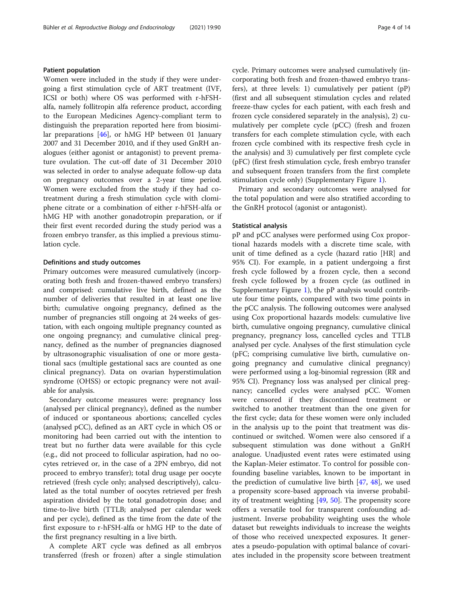### Patient population

Women were included in the study if they were undergoing a first stimulation cycle of ART treatment (IVF, ICSI or both) where OS was performed with r-hFSHalfa, namely follitropin alfa reference product, according to the European Medicines Agency-compliant term to distinguish the preparation reported here from biosimilar preparations [[46](#page-13-0)], or hMG HP between 01 January 2007 and 31 December 2010, and if they used GnRH analogues (either agonist or antagonist) to prevent premature ovulation. The cut-off date of 31 December 2010 was selected in order to analyse adequate follow-up data on pregnancy outcomes over a 2-year time period. Women were excluded from the study if they had cotreatment during a fresh stimulation cycle with clomiphene citrate or a combination of either r-hFSH-alfa or hMG HP with another gonadotropin preparation, or if their first event recorded during the study period was a frozen embryo transfer, as this implied a previous stimulation cycle.

### Definitions and study outcomes

Primary outcomes were measured cumulatively (incorporating both fresh and frozen-thawed embryo transfers) and comprised: cumulative live birth, defined as the number of deliveries that resulted in at least one live birth; cumulative ongoing pregnancy, defined as the number of pregnancies still ongoing at 24 weeks of gestation, with each ongoing multiple pregnancy counted as one ongoing pregnancy; and cumulative clinical pregnancy, defined as the number of pregnancies diagnosed by ultrasonographic visualisation of one or more gestational sacs (multiple gestational sacs are counted as one clinical pregnancy). Data on ovarian hyperstimulation syndrome (OHSS) or ectopic pregnancy were not available for analysis.

Secondary outcome measures were: pregnancy loss (analysed per clinical pregnancy), defined as the number of induced or spontaneous abortions; cancelled cycles (analysed pCC), defined as an ART cycle in which OS or monitoring had been carried out with the intention to treat but no further data were available for this cycle (e.g., did not proceed to follicular aspiration, had no oocytes retrieved or, in the case of a 2PN embryo, did not proceed to embryo transfer); total drug usage per oocyte retrieved (fresh cycle only; analysed descriptively), calculated as the total number of oocytes retrieved per fresh aspiration divided by the total gonadotropin dose; and time-to-live birth (TTLB; analysed per calendar week and per cycle), defined as the time from the date of the first exposure to r-hFSH-alfa or hMG HP to the date of the first pregnancy resulting in a live birth.

A complete ART cycle was defined as all embryos transferred (fresh or frozen) after a single stimulation cycle. Primary outcomes were analysed cumulatively (incorporating both fresh and frozen-thawed embryo transfers), at three levels: 1) cumulatively per patient (pP) (first and all subsequent stimulation cycles and related freeze-thaw cycles for each patient, with each fresh and frozen cycle considered separately in the analysis), 2) cumulatively per complete cycle (pCC) (fresh and frozen transfers for each complete stimulation cycle, with each frozen cycle combined with its respective fresh cycle in the analysis) and 3) cumulatively per first complete cycle (pFC) (first fresh stimulation cycle, fresh embryo transfer and subsequent frozen transfers from the first complete stimulation cycle only) (Supplementary Figure [1\)](#page-11-0).

Primary and secondary outcomes were analysed for the total population and were also stratified according to the GnRH protocol (agonist or antagonist).

#### Statistical analysis

pP and pCC analyses were performed using Cox proportional hazards models with a discrete time scale, with unit of time defined as a cycle (hazard ratio [HR] and 95% CI). For example, in a patient undergoing a first fresh cycle followed by a frozen cycle, then a second fresh cycle followed by a frozen cycle (as outlined in Supplementary Figure [1](#page-11-0)), the pP analysis would contribute four time points, compared with two time points in the pCC analysis. The following outcomes were analysed using Cox proportional hazards models: cumulative live birth, cumulative ongoing pregnancy, cumulative clinical pregnancy, pregnancy loss, cancelled cycles and TTLB analysed per cycle. Analyses of the first stimulation cycle (pFC; comprising cumulative live birth, cumulative ongoing pregnancy and cumulative clinical pregnancy) were performed using a log-binomial regression (RR and 95% CI). Pregnancy loss was analysed per clinical pregnancy; cancelled cycles were analysed pCC. Women were censored if they discontinued treatment or switched to another treatment than the one given for the first cycle; data for these women were only included in the analysis up to the point that treatment was discontinued or switched. Women were also censored if a subsequent stimulation was done without a GnRH analogue. Unadjusted event rates were estimated using the Kaplan-Meier estimator. To control for possible confounding baseline variables, known to be important in the prediction of cumulative live birth  $[47, 48]$  $[47, 48]$  $[47, 48]$  $[47, 48]$  $[47, 48]$ , we used a propensity score-based approach via inverse probability of treatment weighting [\[49](#page-13-0), [50](#page-13-0)]. The propensity score offers a versatile tool for transparent confounding adjustment. Inverse probability weighting uses the whole dataset but reweights individuals to increase the weights of those who received unexpected exposures. It generates a pseudo-population with optimal balance of covariates included in the propensity score between treatment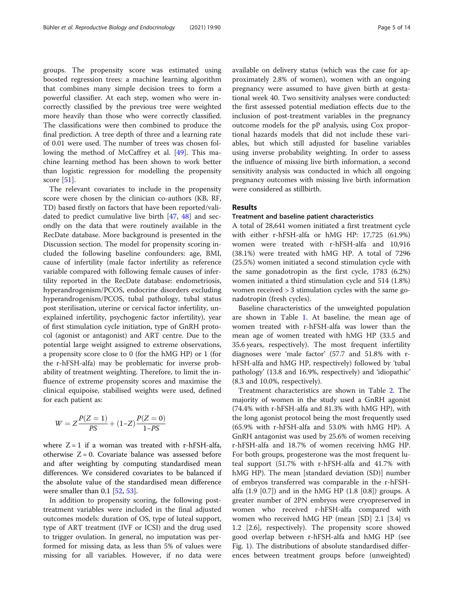groups. The propensity score was estimated using boosted regression trees: a machine learning algorithm that combines many simple decision trees to form a powerful classifier. At each step, women who were incorrectly classified by the previous tree were weighted more heavily than those who were correctly classified. The classifications were then combined to produce the final prediction. A tree depth of three and a learning rate of 0.01 were used. The number of trees was chosen following the method of McCaffrey et al. [[49](#page-13-0)]. This machine learning method has been shown to work better than logistic regression for modelling the propensity score [\[51\]](#page-13-0).

The relevant covariates to include in the propensity score were chosen by the clinician co-authors (KB, RF, TD) based firstly on factors that have been reported/validated to predict cumulative live birth [\[47](#page-13-0), [48](#page-13-0)] and secondly on the data that were routinely available in the RecDate database. More background is presented in the Discussion section. The model for propensity scoring included the following baseline confounders: age, BMI, cause of infertility (male factor infertility as reference variable compared with following female causes of infertility reported in the RecDate database: endometriosis, hyperandrogenism/PCOS, endocrine disorders excluding hyperandrogenism/PCOS, tubal pathology, tubal status post sterilisation, uterine or cervical factor infertility, unexplained infertility, psychogenic factor infertility), year of first stimulation cycle initiation, type of GnRH protocol (agonist or antagonist) and ART centre. Due to the potential large weight assigned to extreme observations, a propensity score close to 0 (for the hMG HP) or 1 (for the r-hFSH-alfa) may be problematic for inverse probability of treatment weighting. Therefore, to limit the influence of extreme propensity scores and maximise the clinical equipoise, stabilised weights were used, defined for each patient as:

$$
W = Z \frac{P(Z=1)}{PS} + (1-Z) \frac{P(Z=0)}{1-PS}
$$

where  $Z = 1$  if a woman was treated with r-hFSH-alfa, otherwise  $Z = 0$ . Covariate balance was assessed before and after weighting by computing standardised mean differences. We considered covariates to be balanced if the absolute value of the standardised mean difference were smaller than  $0.1$  [[52,](#page-13-0) [53](#page-13-0)].

In addition to propensity scoring, the following posttreatment variables were included in the final adjusted outcomes models: duration of OS, type of luteal support, type of ART treatment (IVF or ICSI) and the drug used to trigger ovulation. In general, no imputation was performed for missing data, as less than 5% of values were missing for all variables. However, if no data were available on delivery status (which was the case for approximately 2.8% of women), women with an ongoing pregnancy were assumed to have given birth at gestational week 40. Two sensitivity analyses were conducted: the first assessed potential mediation effects due to the inclusion of post-treatment variables in the pregnancy outcome models for the pP analysis, using Cox proportional hazards models that did not include these variables, but which still adjusted for baseline variables using inverse probability weighting. In order to assess the influence of missing live birth information, a second sensitivity analysis was conducted in which all ongoing pregnancy outcomes with missing live birth information were considered as stillbirth.

### Results

### Treatment and baseline patient characteristics

A total of 28,641 women initiated a first treatment cycle with either r-hFSH-alfa or hMG HP: 17,725 (61.9%) women were treated with r-hFSH-alfa and 10,916 (38.1%) were treated with hMG HP. A total of 7296 (25.5%) women initiated a second stimulation cycle with the same gonadotropin as the first cycle, 1783 (6.2%) women initiated a third stimulation cycle and 514 (1.8%) women received > 3 stimulation cycles with the same gonadotropin (fresh cycles).

Baseline characteristics of the unweighted population are shown in Table [1.](#page-5-0) At baseline, the mean age of women treated with r-hFSH-alfa was lower than the mean age of women treated with hMG HP (33.5 and 35.6 years, respectively). The most frequent infertility diagnoses were 'male factor' (57.7 and 51.8% with rhFSH-alfa and hMG HP, respectively) followed by 'tubal pathology' (13.8 and 16.9%, respectively) and 'idiopathic' (8.3 and 10.0%, respectively).

Treatment characteristics are shown in Table [2.](#page-6-0) The majority of women in the study used a GnRH agonist (74.4% with r-hFSH-alfa and 81.3% with hMG HP), with the long agonist protocol being the most frequently used (65.9% with r-hFSH-alfa and 53.0% with hMG HP). A GnRH antagonist was used by 25.6% of women receiving r-hFSH-alfa and 18.7% of women receiving hMG HP. For both groups, progesterone was the most frequent luteal support (51.7% with r-hFSH-alfa and 41.7% with hMG HP). The mean [standard deviation (SD)] number of embryos transferred was comparable in the r-hFSHalfa (1.9 [0.7]) and in the hMG HP (1.8 [0.8]) groups. A greater number of 2PN embryos were cryopreserved in women who received r-hFSH-alfa compared with women who received hMG HP (mean [SD] 2.1 [3.4] vs 1.2 [2.6], respectively). The propensity score showed good overlap between r-hFSH-alfa and hMG HP (see Fig. [1](#page-7-0)). The distributions of absolute standardised differences between treatment groups before (unweighted)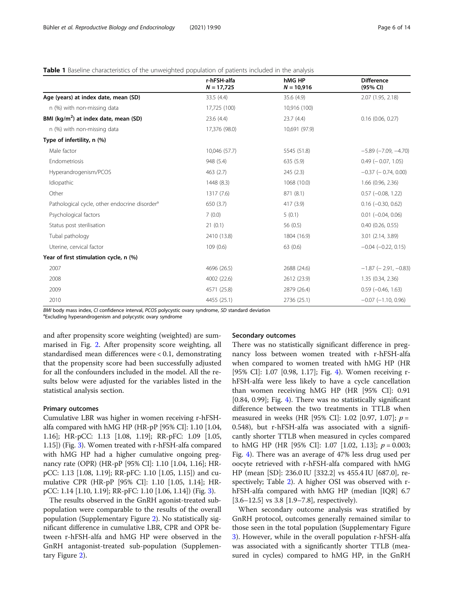### <span id="page-5-0"></span>**Table 1** Baseline characteristics of the unweighted population of patients included in the analysis

|                                                           | r-hFSH-alfa<br>$N = 17,725$ | hMG HP<br>$N = 10,916$ | <b>Difference</b><br>(95% CI) |
|-----------------------------------------------------------|-----------------------------|------------------------|-------------------------------|
| Age (years) at index date, mean (SD)                      | 33.5(4.4)                   | 35.6(4.9)              | 2.07 (1.95, 2.18)             |
| n (%) with non-missing data                               | 17,725 (100)                | 10,916 (100)           |                               |
| BMI ( $\text{kg/m}^2$ ) at index date, mean (SD)          | 23.6(4.4)                   | 23.7(4.4)              | 0.16(0.06, 0.27)              |
| n (%) with non-missing data                               | 17,376 (98.0)               | 10,691 (97.9)          |                               |
| Type of infertility, n (%)                                |                             |                        |                               |
| Male factor                                               | 10,046 (57.7)               | 5545 (51.8)            | $-5.89$ ( $-7.09$ , $-4.70$ ) |
| Endometriosis                                             | 948 (5.4)                   | 635 (5.9)              | $0.49$ ( $-0.07, 1.05$ )      |
| Hyperandrogenism/PCOS                                     | 463 (2.7)                   | 245(2.3)               | $-0.37$ ( $-0.74$ , 0.00)     |
| Idiopathic                                                | 1448 (8.3)                  | 1068 (10.0)            | $1.66$ (0.96, 2.36)           |
| Other                                                     | 1317 (7.6)                  | 871 (8.1)              | $0.57$ (-0.08, 1.22)          |
| Pathological cycle, other endocrine disorder <sup>a</sup> | 650 (3.7)                   | 417 (3.9)              | $0.16$ $(-0.30, 0.62)$        |
| Psychological factors                                     | 7(0.0)                      | 5(0.1)                 | $0.01$ $(-0.04, 0.06)$        |
| Status post sterilisation                                 | 21(0.1)                     | 56 (0.5)               | 0.40(0.26, 0.55)              |
| Tubal pathology                                           | 2410 (13.8)                 | 1804 (16.9)            | 3.01 (2.14, 3.89)             |
| Uterine, cervical factor                                  | 109(0.6)                    | 63(0.6)                | $-0.04$ $(-0.22, 0.15)$       |
| Year of first stimulation cycle, n (%)                    |                             |                        |                               |
| 2007                                                      | 4696 (26.5)                 | 2688 (24.6)            | $-1.87$ ( $-2.91$ , $-0.83$ ) |
| 2008                                                      | 4002 (22.6)                 | 2612 (23.9)            | 1.35 (0.34, 2.36)             |
| 2009                                                      | 4571 (25.8)                 | 2879 (26.4)            | $0.59(-0.46, 1.63)$           |
| 2010                                                      | 4455 (25.1)                 | 2736 (25.1)            | $-0.07$ $(-1.10, 0.96)$       |

BMI body mass index, CI confidence interval, PCOS polycystic ovary syndrome, SD standard deviation

Excluding hyperandrogenism and polycystic ovary syndrome

and after propensity score weighting (weighted) are summarised in Fig. [2.](#page-7-0) After propensity score weighting, all standardised mean differences were < 0.1, demonstrating that the propensity score had been successfully adjusted for all the confounders included in the model. All the results below were adjusted for the variables listed in the statistical analysis section.

### Primary outcomes

Cumulative LBR was higher in women receiving r-hFSHalfa compared with hMG HP (HR-pP [95% CI]: 1.10 [1.04, 1.16]; HR-pCC: 1.13 [1.08, 1.19]; RR-pFC: 1.09 [1.05, 1.15]) (Fig. [3\)](#page-8-0). Women treated with r-hFSH-alfa compared with hMG HP had a higher cumulative ongoing pregnancy rate (OPR) (HR-pP [95% CI]: 1.10 [1.04, 1.16]; HRpCC: 1.13 [1.08, 1.19]; RR-pFC: 1.10 [1.05, 1.15]) and cumulative CPR (HR-pP [95% CI]: 1.10 [1.05, 1.14]; HRpCC: 1.14 [1.10, 1.19]; RR-pFC: 1.10 [1.06, 1.14]) (Fig. [3\)](#page-8-0).

The results observed in the GnRH agonist-treated subpopulation were comparable to the results of the overall population (Supplementary Figure [2\)](#page-11-0). No statistically significant difference in cumulative LBR, CPR and OPR between r-hFSH-alfa and hMG HP were observed in the GnRH antagonist-treated sub-population (Supplementary Figure [2\)](#page-11-0).

### Secondary outcomes

There was no statistically significant difference in pregnancy loss between women treated with r-hFSH-alfa when compared to women treated with hMG HP (HR [95% CI]: 1.07 [0.98, 1.17]; Fig. [4](#page-9-0)). Women receiving rhFSH-alfa were less likely to have a cycle cancellation than women receiving hMG HP (HR [95% CI]: 0.91 [0.84, 0.99]; Fig. [4](#page-9-0)). There was no statistically significant difference between the two treatments in TTLB when measured in weeks (HR [95% CI]: 1.02 [0.97, 1.07];  $p =$ 0.548), but r-hFSH-alfa was associated with a significantly shorter TTLB when measured in cycles compared to hMG HP (HR [95% CI]: 1.07 [1.02, 1.13];  $p = 0.003$ ; Fig. [4\)](#page-9-0). There was an average of 47% less drug used per oocyte retrieved with r-hFSH-alfa compared with hMG HP (mean [SD]: 236.0 IU [332.2] vs 455.4 IU [687.0], respectively; Table [2\)](#page-6-0). A higher OSI was observed with rhFSH-alfa compared with hMG HP (median [IQR] 6.7 [3.6–12.5] vs 3.8 [1.9–7.8], respectively).

When secondary outcome analysis was stratified by GnRH protocol, outcomes generally remained similar to those seen in the total population (Supplementary Figure [3\)](#page-11-0). However, while in the overall population r-hFSH-alfa was associated with a significantly shorter TTLB (measured in cycles) compared to hMG HP, in the GnRH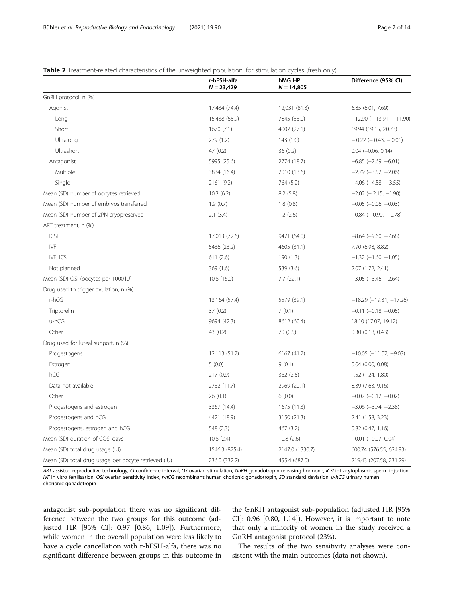### <span id="page-6-0"></span>Table 2 Treatment-related characteristics of the unweighted population, for stimulation cycles (fresh only)

|                                                      | r-hFSH-alfa<br>$N = 23,429$ | hMG HP<br>$N = 14,805$ | Difference (95% CI)              |
|------------------------------------------------------|-----------------------------|------------------------|----------------------------------|
| GnRH protocol, n (%)                                 |                             |                        |                                  |
| Agonist                                              | 17,434 (74.4)               | 12,031 (81.3)          | 6.85 (6.01, 7.69)                |
| Long                                                 | 15,438 (65.9)               | 7845 (53.0)            | $-12.90$ ( $-13.91$ , $-11.90$ ) |
| Short                                                | 1670(7.1)                   | 4007 (27.1)            | 19.94 (19.15, 20.73)             |
| Ultralong                                            | 279 (1.2)                   | 143(1.0)               | $-0.22$ ( $-0.43$ , $-0.01$ )    |
| Ultrashort                                           | 47(0.2)                     | 36(0.2)                | $0.04 (-0.06, 0.14)$             |
| Antagonist                                           | 5995 (25.6)                 | 2774 (18.7)            | $-6.85$ ( $-7.69$ , $-6.01$ )    |
| Multiple                                             | 3834 (16.4)                 | 2010 (13.6)            | $-2.79$ ( $-3.52$ , $-2.06$ )    |
| Single                                               | 2161 (9.2)                  | 764 (5.2)              | $-4.06$ ( $-4.58$ , $-3.55$ )    |
| Mean (SD) number of oocytes retrieved                | 10.3(6.2)                   | 8.2(5.8)               | $-2.02$ ( $-2.15$ , $-1.90$ )    |
| Mean (SD) number of embryos transferred              | 1.9(0.7)                    | 1.8(0.8)               | $-0.05$ ( $-0.06$ , $-0.03$ )    |
| Mean (SD) number of 2PN cryopreserved                | 2.1(3.4)                    | 1.2(2.6)               | $-0.84$ ( $-0.90$ , $-0.78$ )    |
| ART treatment, n (%)                                 |                             |                        |                                  |
| ICSI                                                 | 17,013 (72.6)               | 9471 (64.0)            | $-8.64$ ( $-9.60$ , $-7.68$ )    |
| IVF                                                  | 5436 (23.2)                 | 4605 (31.1)            | 7.90 (6.98, 8.82)                |
| IVF, ICSI                                            | 611(2.6)                    | 190 (1.3)              | $-1.32$ ( $-1.60$ , $-1.05$ )    |
| Not planned                                          | 369(1.6)                    | 539 (3.6)              | 2.07 (1.72, 2.41)                |
| Mean (SD) OSI (oocytes per 1000 IU)                  | 10.8(16.0)                  | 7.7(22.1)              | $-3.05$ $(-3.46, -2.64)$         |
| Drug used to trigger ovulation, n (%)                |                             |                        |                                  |
| $r-hCG$                                              | 13,164 (57.4)               | 5579 (39.1)            | $-18.29$ ( $-19.31$ , $-17.26$ ) |
| Triptorelin                                          | 37(0.2)                     | 7(0.1)                 | $-0.11$ $(-0.18, -0.05)$         |
| u-hCG                                                | 9694 (42.3)                 | 8612 (60.4)            | 18.10 (17.07, 19.12)             |
| Other                                                | 43 (0.2)                    | 70 (0.5)               | 0.30(0.18, 0.43)                 |
| Drug used for luteal support, n (%)                  |                             |                        |                                  |
| Progestogens                                         | 12,113 (51.7)               | 6167 (41.7)            | $-10.05$ ( $-11.07$ , $-9.03$ )  |
| Estrogen                                             | 5(0.0)                      | 9(0.1)                 | $0.04$ $(0.00, 0.08)$            |
| hCG                                                  | 217(0.9)                    | 362(2.5)               | 1.52 (1.24, 1.80)                |
| Data not available                                   | 2732 (11.7)                 | 2969 (20.1)            | 8.39 (7.63, 9.16)                |
| Other                                                | 26(0.1)                     | 6(0.0)                 | $-0.07$ $(-0.12, -0.02)$         |
| Progestogens and estrogen                            | 3367 (14.4)                 | 1675 (11.3)            | $-3.06$ $(-3.74, -2.38)$         |
| Progestogens and hCG                                 | 4421 (18.9)                 | 3150 (21.3)            | 2.41 (1.58, 3.23)                |
| Progestogens, estrogen and hCG                       | 548 (2.3)                   | 467 (3.2)              | $0.82$ (0.47, 1.16)              |
| Mean (SD) duration of COS, days                      | 10.8(2.4)                   | 10.8(2.6)              | $-0.01$ $(-0.07, 0.04)$          |
| Mean (SD) total drug usage (IU)                      | 1546.3 (875.4)              | 2147.0 (1330.7)        | 600.74 (576.55, 624.93)          |
| Mean (SD) total drug usage per oocyte retrieved (IU) | 236.0 (332.2)               | 455.4 (687.0)          | 219.43 (207.58, 231.29)          |

ART assisted reproductive technology, CI confidence interval, OS ovarian stimulation, GnRH gonadotropin-releasing hormone, ICSI intracytoplasmic sperm injection, IVF in vitro fertilisation, OSI ovarian sensitivity index, r-hCG recombinant human chorionic gonadotropin, SD standard deviation, u-hCG urinary human chorionic gonadotropin

antagonist sub-population there was no significant difference between the two groups for this outcome (adjusted HR [95% CI]: 0.97 [0.86, 1.09]). Furthermore, while women in the overall population were less likely to have a cycle cancellation with r-hFSH-alfa, there was no significant difference between groups in this outcome in

the GnRH antagonist sub-population (adjusted HR [95% CI]: 0.96 [0.80, 1.14]). However, it is important to note that only a minority of women in the study received a GnRH antagonist protocol (23%).

The results of the two sensitivity analyses were consistent with the main outcomes (data not shown).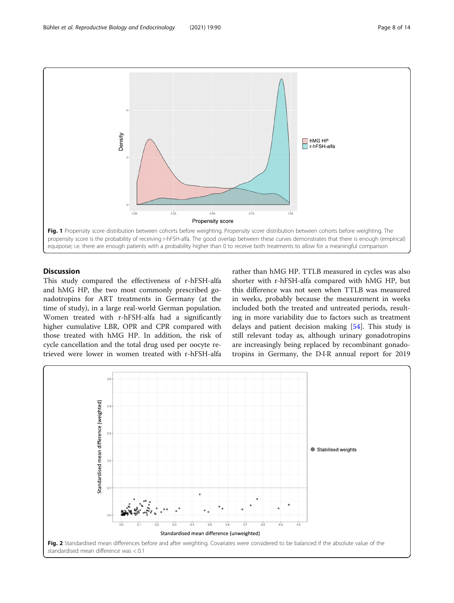<span id="page-7-0"></span>

### **Discussion**

This study compared the effectiveness of r-hFSH-alfa and hMG HP, the two most commonly prescribed gonadotropins for ART treatments in Germany (at the time of study), in a large real-world German population. Women treated with r-hFSH-alfa had a significantly higher cumulative LBR, OPR and CPR compared with those treated with hMG HP. In addition, the risk of cycle cancellation and the total drug used per oocyte retrieved were lower in women treated with r-hFSH-alfa

rather than hMG HP. TTLB measured in cycles was also shorter with r-hFSH-alfa compared with hMG HP, but this difference was not seen when TTLB was measured in weeks, probably because the measurement in weeks included both the treated and untreated periods, resulting in more variability due to factors such as treatment delays and patient decision making [[54\]](#page-13-0). This study is still relevant today as, although urinary gonadotropins are increasingly being replaced by recombinant gonadotropins in Germany, the D∙I∙R annual report for 2019

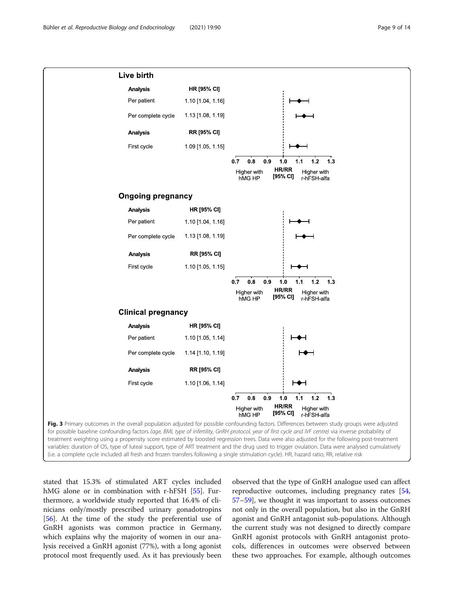<span id="page-8-0"></span>

stated that 15.3% of stimulated ART cycles included hMG alone or in combination with r-hFSH [[55\]](#page-13-0). Furthermore, a worldwide study reported that 16.4% of clinicians only/mostly prescribed urinary gonadotropins [[56\]](#page-13-0). At the time of the study the preferential use of GnRH agonists was common practice in Germany, which explains why the majority of women in our analysis received a GnRH agonist (77%), with a long agonist protocol most frequently used. As it has previously been

observed that the type of GnRH analogue used can affect reproductive outcomes, including pregnancy rates [[54](#page-13-0), [57](#page-13-0)–[59](#page-13-0)], we thought it was important to assess outcomes not only in the overall population, but also in the GnRH agonist and GnRH antagonist sub-populations. Although the current study was not designed to directly compare GnRH agonist protocols with GnRH antagonist protocols, differences in outcomes were observed between these two approaches. For example, although outcomes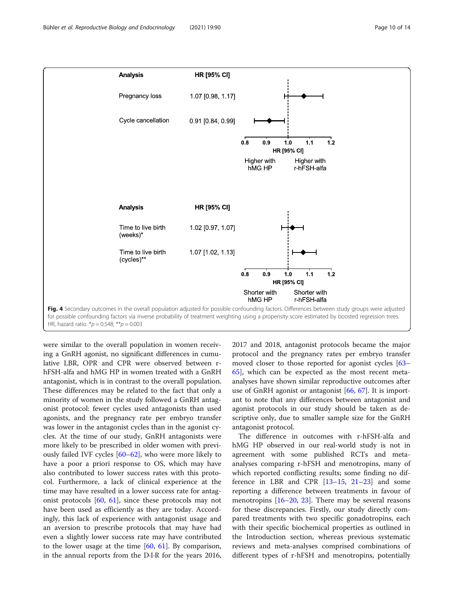<span id="page-9-0"></span>

HR, hazard ratio.  $* p = 0.548$ ;  $** p = 0.003$ 

were similar to the overall population in women receiving a GnRH agonist, no significant differences in cumulative LBR, OPR and CPR were observed between rhFSH-alfa and hMG HP in women treated with a GnRH antagonist, which is in contrast to the overall population. These differences may be related to the fact that only a minority of women in the study followed a GnRH antagonist protocol: fewer cycles used antagonists than used agonists, and the pregnancy rate per embryo transfer was lower in the antagonist cycles than in the agonist cycles. At the time of our study, GnRH antagonists were more likely to be prescribed in older women with previously failed IVF cycles [\[60](#page-13-0)–[62\]](#page-13-0), who were more likely to have a poor a priori response to OS, which may have also contributed to lower success rates with this protocol. Furthermore, a lack of clinical experience at the time may have resulted in a lower success rate for antagonist protocols [[60,](#page-13-0) [61\]](#page-13-0), since these protocols may not have been used as efficiently as they are today. Accordingly, this lack of experience with antagonist usage and an aversion to prescribe protocols that may have had even a slightly lower success rate may have contributed to the lower usage at the time  $[60, 61]$  $[60, 61]$  $[60, 61]$  $[60, 61]$  $[60, 61]$ . By comparison, in the annual reports from the D∙I∙R for the years 2016, 2017 and 2018, antagonist protocols became the major protocol and the pregnancy rates per embryo transfer moved closer to those reported for agonist cycles [[63](#page-13-0)– [65\]](#page-13-0), which can be expected as the most recent metaanalyses have shown similar reproductive outcomes after use of GnRH agonist or antagonist [[66](#page-13-0), [67\]](#page-13-0). It is important to note that any differences between antagonist and agonist protocols in our study should be taken as descriptive only, due to smaller sample size for the GnRH antagonist protocol.

The difference in outcomes with r-hFSH-alfa and hMG HP observed in our real-world study is not in agreement with some published RCTs and metaanalyses comparing r-hFSH and menotropins, many of which reported conflicting results; some finding no difference in LBR and CPR [[13](#page-12-0)–[15,](#page-12-0) [21](#page-12-0)–[23](#page-12-0)] and some reporting a difference between treatments in favour of menotropins  $[16–20, 23]$  $[16–20, 23]$  $[16–20, 23]$  $[16–20, 23]$  $[16–20, 23]$  $[16–20, 23]$  $[16–20, 23]$ . There may be several reasons for these discrepancies. Firstly, our study directly compared treatments with two specific gonadotropins, each with their specific biochemical properties as outlined in the Introduction section, whereas previous systematic reviews and meta-analyses comprised combinations of different types of r-hFSH and menotropins, potentially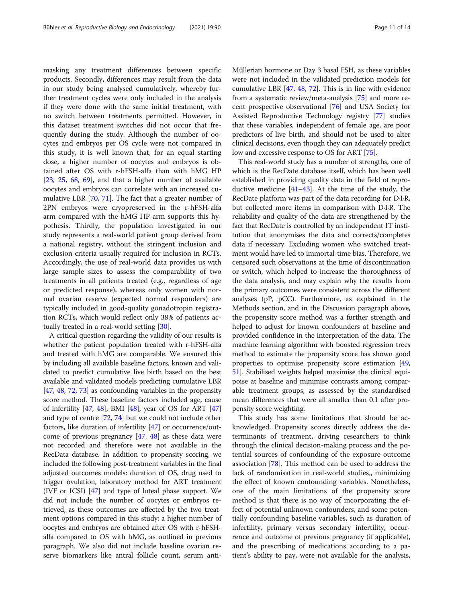masking any treatment differences between specific products. Secondly, differences may result from the data in our study being analysed cumulatively, whereby further treatment cycles were only included in the analysis if they were done with the same initial treatment, with no switch between treatments permitted. However, in this dataset treatment switches did not occur that frequently during the study. Although the number of oocytes and embryos per OS cycle were not compared in this study, it is well known that, for an equal starting dose, a higher number of oocytes and embryos is obtained after OS with r-hFSH-alfa than with hMG HP [[23,](#page-12-0) [25,](#page-12-0) [68](#page-13-0), [69\]](#page-13-0), and that a higher number of available oocytes and embryos can correlate with an increased cumulative LBR [[70](#page-13-0), [71](#page-13-0)]. The fact that a greater number of 2PN embryos were cryopreserved in the r-hFSH-alfa arm compared with the hMG HP arm supports this hypothesis. Thirdly, the population investigated in our study represents a real-world patient group derived from a national registry, without the stringent inclusion and exclusion criteria usually required for inclusion in RCTs. Accordingly, the use of real-world data provides us with large sample sizes to assess the comparability of two treatments in all patients treated (e.g., regardless of age or predicted response), whereas only women with normal ovarian reserve (expected normal responders) are typically included in good-quality gonadotropin registration RCTs, which would reflect only 38% of patients actually treated in a real-world setting [[30\]](#page-12-0).

A critical question regarding the validity of our results is whether the patient population treated with r-hFSH-alfa and treated with hMG are comparable. We ensured this by including all available baseline factors, known and validated to predict cumulative live birth based on the best available and validated models predicting cumulative LBR [[47](#page-13-0), [48](#page-13-0), [72,](#page-13-0) [73\]](#page-13-0) as confounding variables in the propensity score method. These baseline factors included age, cause of infertility [\[47,](#page-13-0) [48](#page-13-0)], BMI [\[48\]](#page-13-0), year of OS for ART [[47](#page-13-0)] and type of centre [[72](#page-13-0), [74\]](#page-13-0) but we could not include other factors, like duration of infertility [[47](#page-13-0)] or occurrence/outcome of previous pregnancy [\[47,](#page-13-0) [48](#page-13-0)] as these data were not recorded and therefore were not available in the RecData database. In addition to propensity scoring, we included the following post-treatment variables in the final adjusted outcomes models: duration of OS, drug used to trigger ovulation, laboratory method for ART treatment (IVF or ICSI) [\[47\]](#page-13-0) and type of luteal phase support. We did not include the number of oocytes or embryos retrieved, as these outcomes are affected by the two treatment options compared in this study: a higher number of oocytes and embryos are obtained after OS with r-hFSHalfa compared to OS with hMG, as outlined in previous paragraph. We also did not include baseline ovarian reserve biomarkers like antral follicle count, serum antiMüllerian hormone or Day 3 basal FSH, as these variables were not included in the validated prediction models for cumulative LBR [\[47](#page-13-0), [48](#page-13-0), [72](#page-13-0)]. This is in line with evidence from a systematic review/meta-analysis [\[75\]](#page-13-0) and more recent prospective observational [[76](#page-13-0)] and USA Society for Assisted Reproductive Technology registry [[77](#page-13-0)] studies that these variables, independent of female age, are poor predictors of live birth, and should not be used to alter clinical decisions, even though they can adequately predict low and excessive response to OS for ART [[75](#page-13-0)].

This real-world study has a number of strengths, one of which is the RecDate database itself, which has been well established in providing quality data in the field of reproductive medicine  $[41-43]$  $[41-43]$  $[41-43]$  $[41-43]$ . At the time of the study, the RecDate platform was part of the data recording for D∙I∙R, but collected more items in comparison with D∙I∙R. The reliability and quality of the data are strengthened by the fact that RecDate is controlled by an independent IT institution that anonymises the data and corrects/completes data if necessary. Excluding women who switched treatment would have led to immortal-time bias. Therefore, we censored such observations at the time of discontinuation or switch, which helped to increase the thoroughness of the data analysis, and may explain why the results from the primary outcomes were consistent across the different analyses (pP, pCC). Furthermore, as explained in the Methods section, and in the Discussion paragraph above, the propensity score method was a further strength and helped to adjust for known confounders at baseline and provided confidence in the interpretation of the data. The machine learning algorithm with boosted regression trees method to estimate the propensity score has shown good properties to optimise propensity score estimation [[49](#page-13-0), [51](#page-13-0)]. Stabilised weights helped maximise the clinical equipoise at baseline and minimise contrasts among comparable treatment groups, as assessed by the standardised mean differences that were all smaller than 0.1 after propensity score weighting.

This study has some limitations that should be acknowledged. Propensity scores directly address the determinants of treatment, driving researchers to think through the clinical decision-making process and the potential sources of confounding of the exposure outcome association [[78](#page-13-0)]. This method can be used to address the lack of randomisation in real-world studies,, minimizing the effect of known confounding variables. Nonetheless, one of the main limitations of the propensity score method is that there is no way of incorporating the effect of potential unknown confounders, and some potentially confounding baseline variables, such as duration of infertility, primary versus secondary infertility, occurrence and outcome of previous pregnancy (if applicable), and the prescribing of medications according to a patient's ability to pay, were not available for the analysis,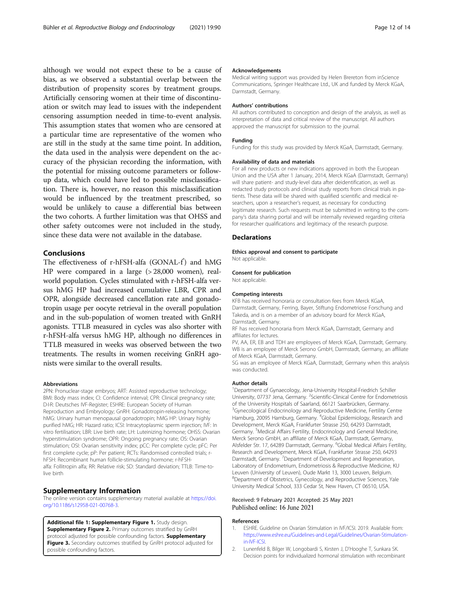<span id="page-11-0"></span>although we would not expect these to be a cause of bias, as we observed a substantial overlap between the distribution of propensity scores by treatment groups. Artificially censoring women at their time of discontinu-

ation or switch may lead to issues with the independent censoring assumption needed in time-to-event analysis. This assumption states that women who are censored at a particular time are representative of the women who are still in the study at the same time point. In addition, the data used in the analysis were dependent on the accuracy of the physician recording the information, with the potential for missing outcome parameters or followup data, which could have led to possible misclassification. There is, however, no reason this misclassification would be influenced by the treatment prescribed, so would be unlikely to cause a differential bias between the two cohorts. A further limitation was that OHSS and other safety outcomes were not included in the study, since these data were not available in the database.

### Conclusions

The effectiveness of r-hFSH-alfa (GONAL-f) and hMG HP were compared in a large (> 28,000 women), realworld population. Cycles stimulated with r-hFSH-alfa versus hMG HP had increased cumulative LBR, CPR and OPR, alongside decreased cancellation rate and gonadotropin usage per oocyte retrieval in the overall population and in the sub-population of women treated with GnRH agonists. TTLB measured in cycles was also shorter with r-hFSH-alfa versus hMG HP, although no differences in TTLB measured in weeks was observed between the two treatments. The results in women receiving GnRH agonists were similar to the overall results.

#### Abbreviations

2PN: Pronuclear-stage embryos; ART: Assisted reproductive technology; BMI: Body mass index; CI: Confidence interval; CPR: Clinical pregnancy rate; D∙I∙R: Deutsches IVF-Register; ESHRE: European Society of Human Reproduction and Embryology; GnRH: Gonadotropin-releasing hormone; hMG: Urinary human menopausal gonadotropin; hMG HP: Urinary highly purified hMG; HR: Hazard ratio; ICSI: Intracytoplasmic sperm injection; IVF: In vitro fertilisation; LBR: Live birth rate; LH: Luteinizing hormone; OHSS: Ovarian hyperstimulation syndrome; OPR: Ongoing pregnancy rate; OS: Ovarian stimulation; OSI: Ovarian sensitivity index; pCC: Per complete cycle; pFC: Per first complete cycle; pP: Per patient; RCTs: Randomised controlled trials; rhFSH: Recombinant human follicle-stimulating hormone; r-hFSHalfa: Follitropin alfa; RR: Relative risk; SD: Standard deviation; TTLB: Time-tolive birth

#### Supplementary Information

The online version contains supplementary material available at [https://doi.](https://doi.org/10.1186/s12958-021-00768-3) [org/10.1186/s12958-021-00768-3.](https://doi.org/10.1186/s12958-021-00768-3)

Additional file 1: Supplementary Figure 1. Study design. Supplementary Figure 2. Primary outcomes stratified by GnRH protocol adjusted for possible confounding factors. Supplementary Figure 3. Secondary outcomes stratified by GnRH protocol adjusted for possible confounding factors.

#### Acknowledgements

Medical writing support was provided by Helen Brereton from inScience Communications, Springer Healthcare Ltd., UK and funded by Merck KGaA, Darmstadt, Germany.

### Authors' contributions

All authors contributed to conception and design of the analysis, as well as interpretation of data and critical review of the manuscript. All authors approved the manuscript for submission to the journal.

### Funding

Funding for this study was provided by Merck KGaA, Darmstadt, Germany.

#### Availability of data and materials

For all new products or new indications approved in both the European Union and the USA after 1 January, 2014, Merck KGaA (Darmstadt, Germany) will share patient- and study-level data after deidentification, as well as redacted study protocols and clinical study reports from clinical trials in patients. These data will be shared with qualified scientific and medical researchers, upon a researcher's request, as necessary for conducting legitimate research. Such requests must be submitted in writing to the company's data sharing portal and will be internally reviewed regarding criteria for researcher qualifications and legitimacy of the research purpose.

### **Declarations**

Ethics approval and consent to participate Not applicable.

### Consent for publication

Not applicable.

#### Competing interests

KFB has received honoraria or consultation fees from Merck KGaA, Darmstadt, Germany, Ferring, Bayer, Stiftung Endometriose Forschung and Takeda, and is on a member of an advisory board for Merck KGaA, Darmstadt, Germany.

RF has received honoraria from Merck KGaA, Darmstadt, Germany and affiliates for lectures.

PV, AA, ER, EB and TDH are employees of Merck KGaA, Darmstadt, Germany. WB is an employee of Merck Serono GmbH, Darmstadt, Germany, an affiliate of Merck KGaA, Darmstadt, Germany.

SG was an employee of Merck KGaA, Darmstadt, Germany when this analysis was conducted.

#### Author details

<sup>1</sup>Department of Gynaecology, Jena-University Hospital-Friedrich Schiller University, 07737 Jena, Germany. <sup>2</sup>Scientific-Clinical Centre for Endometriosis of the University Hospitals of Saarland, 66121 Saarbrücken, Germany. <sup>3</sup>Gynecological Endocrinology and Reproductive Medicine, Fertility Centre Hamburg, 20095 Hamburg, Germany. <sup>4</sup>Global Epidemiology, Research and Development, Merck KGaA, Frankfurter Strasse 250, 64293 Darmstadt, Germany. <sup>5</sup>Medical Affairs Fertility, Endocrinology and General Medicine, Merck Serono GmbH, an affiliate of Merck KGaA, Darmstadt, Germany, Alsfelder Str. 17, 64289 Darmstadt, Germany. <sup>6</sup>Global Medical Affairs Fertility Research and Development, Merck KGaA, Frankfurter Strasse 250, 64293 Darmstadt, Germany.<sup>7</sup> Department of Development and Regeneration Laboratory of Endometrium, Endometriosis & Reproductive Medicine, KU Leuven (University of Leuven), Oude Markt 13, 3000 Leuven, Belgium. 8 Department of Obstetrics, Gynecology, and Reproductive Sciences, Yale University Medical School, 333 Cedar St, New Haven, CT 06510, USA.

### Received: 9 February 2021 Accepted: 25 May 2021 Published online: 16 June 2021

#### References

- 1. ESHRE. Guideline on Ovarian Stimulation in IVF/ICSI. 2019. Available from: [https://www.eshre.eu/Guidelines-and-Legal/Guidelines/Ovarian-Stimulation](https://www.eshre.eu/Guidelines-and-Legal/Guidelines/Ovarian-Stimulation-in-IVF-ICSI)in-IVF-ICS
- 2. Lunenfeld B, Bilger W, Longobardi S, Kirsten J, D'Hooghe T, Sunkara SK. Decision points for individualized hormonal stimulation with recombinant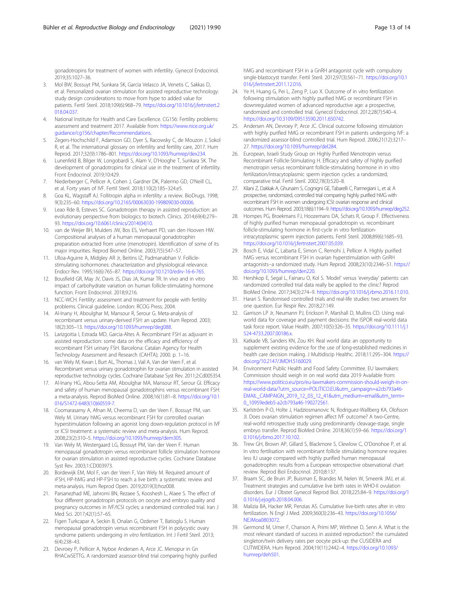<span id="page-12-0"></span>gonadotropins for treatment of women with infertility. Gynecol Endocrinol. 2019;35:1027–36.

- 3. Mol BW, Bossuyt PM, Sunkara SK, Garcia Velasco JA, Venetis C, Sakkas D, et al. Personalized ovarian stimulation for assisted reproductive technology: study design considerations to move from hype to added value for patients. Fertil Steril. 2018;109(6):968–79. [https://doi.org/10.1016/j.fertnstert.2](https://doi.org/10.1016/j.fertnstert.2018.04.037) [018.04.037](https://doi.org/10.1016/j.fertnstert.2018.04.037).
- 4. National Institute for Health and Care Excellence. CG156: Fertility problems: assessment and treatment 2017. Available from: [https://www.nice.org.uk/](https://www.nice.org.uk/guidance/cg156/chapter/Recommendations) [guidance/cg156/chapter/Recommendations.](https://www.nice.org.uk/guidance/cg156/chapter/Recommendations)
- 5. Zegers-Hochschild F, Adamson GD, Dyer S, Racowsky C, de Mouzon J, Sokol R, et al. The international glossary on infertility and fertility care, 2017. Hum Reprod. 2017;32(9):1786–801. <https://doi.org/10.1093/humrep/dex234>.
- 6. Lunenfeld B, Bilger W, Longobardi S, Alam V, D'Hooghe T, Sunkara SK. The development of gonadotropins for clinical use in the treatment of infertility. Front Endocrinol. 2019;10:429.
- 7. Niederberger C, Pellicer A, Cohen J, Gardner DK, Palermo GD, O'Neill CL, et al. Forty years of IVF. Fertil Steril. 2018;110(2):185–324.e5.
- 8. Goa KL, Wagstaff AJ. Follitropin alpha in infertility: a review. BioDrugs. 1998; 9(3):235–60. [https://doi.org/10.2165/00063030-199809030-00006.](https://doi.org/10.2165/00063030-199809030-00006)
- 9. Leao Rde B, Esteves SC. Gonadotropin therapy in assisted reproduction: an evolutionary perspective from biologics to biotech. Clinics. 2014;69(4):279– 93. [https://doi.org/10.6061/clinics/2014\(04\)10.](https://doi.org/10.6061/clinics/2014(04)10)
- 10. van de Weijer BH, Mulders JW, Bos ES, Verhaert PD, van den Hooven HW. Compositional analyses of a human menopausal gonadotrophin preparation extracted from urine (menotropin). Identification of some of its major impurities. Reprod Biomed Online. 2003;7(5):547–57.
- 11. Ulloa-Aguirre A, Midgley AR Jr, Beitins IZ, Padmanabhan V. Folliclestimulating isohormones: characterization and physiological relevance. Endocr Rev. 1995;16(6):765–87. [https://doi.org/10.1210/edrv-16-6-765.](https://doi.org/10.1210/edrv-16-6-765)
- 12. Bousfield GR, May JV, Davis JS, Dias JA, Kumar TR. In vivo and in vitro impact of carbohydrate variation on human follicle-stimulating hormone function. Front Endocrinol. 2018;9:216.
- 13. NCC-WCH. Fertility: assessment and treatment for people with fertility problems. Clinical guideline. London: RCOG Press; 2004.
- 14. Al-Inany H, Aboulghar M, Mansour R, Serour G. Meta-analysis of recombinant versus urinary-derived FSH: an update. Hum Reprod. 2003; 18(2):305–13. <https://doi.org/10.1093/humrep/deg088>.
- 15. Larizgoitia I, Estrada MD, Garcia-Altes A. Recombinant FSH as adjuvant in assisted reproduction: some data on the efficacy and efficiency of recombinant FSH urinary FSH. Barcelona: Catalan Agency for Health Technology Assessment and Research (CAHTA); 2000. p. 1–16.
- 16. van Wely M, Kwan I, Burt AL, Thomas J, Vail A, Van der Veen F, et al. Recombinant versus urinary gonadotrophin for ovarian stimulation in assisted reproductive technology cycles. Cochrane Database Syst Rev. 2011;2:Cd005354.
- 17. Al-Inany HG, Abou-Setta AM, Aboulghar MA, Mansour RT, Serour GI. Efficacy and safety of human menopausal gonadotrophins versus recombinant FSH: a meta-analysis. Reprod BioMed Online. 2008;16(1):81–8. [https://doi.org/10.1](https://doi.org/10.1016/S1472-6483(10)60559-7) [016/S1472-6483\(10\)60559-7](https://doi.org/10.1016/S1472-6483(10)60559-7).
- 18. Coomarasamy A, Afnan M, Cheema D, van der Veen F, Bossuyt PM, van Wely M. Urinary hMG versus recombinant FSH for controlled ovarian hyperstimulation following an agonist long down-regulation protocol in IVF or ICSI treatment: a systematic review and meta-analysis. Hum Reprod. 2008;23(2):310–5. [https://doi.org/10.1093/humrep/dem305.](https://doi.org/10.1093/humrep/dem305)
- 19. Van Wely M, Westergaard LG, Bossuyt PM, Van der Veen F. Human menopausal gonadotropin versus recombinant follicle stimulation hormone for ovarian stimulation in assisted reproductive cycles. Cochrane Database Syst Rev. 2003;1:CD003973.
- 20. Bordewijk EM, Mol F, van der Veen F, Van Wely M. Required amount of rFSH, HP-hMG and HP-FSH to reach a live birth: a systematic review and meta-analysis. Hum Reprod Open. 2019;2019(3):hoz008.
- 21. Parsanezhad ME, Jahromi BN, Rezaee S, Kooshesh L, Alaee S. The effect of four different gonadotropin protocols on oocyte and embryo quality and pregnancy outcomes in IVF/ICSI cycles; a randomized controlled trial. Iran J Med Sci. 2017;42(1):57–65.
- 22. Figen Turkcapar A, Seckin B, Onalan G, Ozdener T, Batioglu S. Human menopausal gonadotropin versus recombinant FSH in polycystic ovary syndrome patients undergoing in vitro fertilization. Int J Fertil Steril. 2013; 6(4):238–43.
- 23. Devroey P, Pellicer A, Nyboe Andersen A, Arce JC. Menopur in Gn RHACwSETTG. A randomized assessor-blind trial comparing highly purified

hMG and recombinant FSH in a GnRH antagonist cycle with compulsory single-blastocyst transfer. Fertil Steril. 2012;97(3):561–71. [https://doi.org/10.1](https://doi.org/10.1016/j.fertnstert.2011.12.016) [016/j.fertnstert.2011.12.016](https://doi.org/10.1016/j.fertnstert.2011.12.016).

- 24. Ye H, Huang G, Pei L, Zeng P, Luo X. Outcome of in vitro fertilization following stimulation with highly purified hMG or recombinant FSH in downregulated women of advanced reproductive age: a prospective, randomized and controlled trial. Gynecol Endocrinol. 2012;28(7):540–4. [https://doi.org/10.3109/09513590.2011.650742.](https://doi.org/10.3109/09513590.2011.650742)
- 25. Andersen AN, Devroey P, Arce JC. Clinical outcome following stimulation with highly purified hMG or recombinant FSH in patients undergoing IVF: a randomized assessor-blind controlled trial. Hum Reprod. 2006;21(12):3217– 27. <https://doi.org/10.1093/humrep/del284>.
- 26. European, Israeli Study Group on Highly Purified Menotropin versus Recombinant Follicle-Stimulating H. Efficacy and safety of highly purified menotropin versus recombinant follicle-stimulating hormone in in vitro fertilization/intracytoplasmic sperm injection cycles: a randomized, comparative trial. Fertil Steril. 2002;78(3):520–8.
- 27. Kilani Z, Dakkak A, Ghunaim S, Cognigni GE, Tabarelli C, Parmegiani L, et al. A prospective, randomized, controlled trial comparing highly purified hMG with recombinant FSH in women undergoing ICSI: ovarian response and clinical outcomes. Hum Reprod. 2003;18(6):1194–9. [https://doi.org/10.1093/humrep/deg252.](https://doi.org/10.1093/humrep/deg252)
- 28. Hompes PG, Broekmans FJ, Hoozemans DA, Schats R, Group F. Effectiveness of highly purified human menopausal gonadotropin vs. recombinant follicle-stimulating hormone in first-cycle in vitro fertilizationintracytoplasmic sperm injection patients. Fertil Steril. 2008;89(6):1685–93. [https://doi.org/10.1016/j.fertnstert.2007.05.039.](https://doi.org/10.1016/j.fertnstert.2007.05.039)
- 29. Bosch E, Vidal C, Labarta E, Simon C, Remohi J, Pellicer A. Highly purified hMG versus recombinant FSH in ovarian hyperstimulation with GnRH antagonists--a randomized study. Hum Reprod. 2008;23(10):2346–51. [https://](https://doi.org/10.1093/humrep/den220) [doi.org/10.1093/humrep/den220.](https://doi.org/10.1093/humrep/den220)
- 30. Hershkop E, Segal L, Fainaru O, Kol S. 'Model' versus 'everyday' patients: can randomized controlled trial data really be applied to the clinic? Reprod BioMed Online. 2017;34(3):274–9. [https://doi.org/10.1016/j.rbmo.2016.11.010.](https://doi.org/10.1016/j.rbmo.2016.11.010)
- 31. Harari S. Randomised controlled trials and real-life studies: two answers for one question. Eur Respir Rev. 2018;27:149.
- 32. Garrison LP Jr, Neumann PJ, Erickson P, Marshall D, Mullins CD. Using realworld data for coverage and payment decisions: the ISPOR real-world data task force report. Value Health. 2007;10(5):326–35. [https://doi.org/10.1111/j.1](https://doi.org/10.1111/j.1524-4733.2007.00186.x) [524-4733.2007.00186.x](https://doi.org/10.1111/j.1524-4733.2007.00186.x).
- 33. Katkade VB, Sanders KN, Zou KH. Real world data: an opportunity to supplement existing evidence for the use of long-established medicines in health care decision making. J Multidiscip Healthc. 2018;11:295–304. [https://](https://doi.org/10.2147/JMDH.S160029) [doi.org/10.2147/JMDH.S160029](https://doi.org/10.2147/JMDH.S160029).
- 34. Environment Public Health and Food Safety Committee. EU lawmakers: Commission should weigh in on real world data 2019 Available from: [https://www.politico.eu/pro/eu-lawmakers-commission-should-weigh-in-on](https://www.politico.eu/pro/eu-lawmakers-commission-should-weigh-in-on-real-world-data/?utm_source=POLITICO.EU&utm_campaign=a2cb793a46-EMAIL_CAMPAIGN_2019_12_03_12_41&utm_medium=email&utm_term=0_10959edeb5-a2cb793a46-190272561)[real-world-data/?utm\\_source=POLITICO.EU&utm\\_campaign=a2cb793a46-](https://www.politico.eu/pro/eu-lawmakers-commission-should-weigh-in-on-real-world-data/?utm_source=POLITICO.EU&utm_campaign=a2cb793a46-EMAIL_CAMPAIGN_2019_12_03_12_41&utm_medium=email&utm_term=0_10959edeb5-a2cb793a46-190272561) [EMAIL\\_CAMPAIGN\\_2019\\_12\\_03\\_12\\_41&utm\\_medium=email&utm\\_term=](https://www.politico.eu/pro/eu-lawmakers-commission-should-weigh-in-on-real-world-data/?utm_source=POLITICO.EU&utm_campaign=a2cb793a46-EMAIL_CAMPAIGN_2019_12_03_12_41&utm_medium=email&utm_term=0_10959edeb5-a2cb793a46-190272561) [0\\_10959edeb5-a2cb793a46-190272561](https://www.politico.eu/pro/eu-lawmakers-commission-should-weigh-in-on-real-world-data/?utm_source=POLITICO.EU&utm_campaign=a2cb793a46-EMAIL_CAMPAIGN_2019_12_03_12_41&utm_medium=email&utm_term=0_10959edeb5-a2cb793a46-190272561).
- 35. Karlström P-O, Holte J, Hadziosmanovic N, Rodriguez-Wallberg KA, Olofsson JI. Does ovarian stimulation regimen affect IVF outcome? A two-Centre, real-world retrospective study using predominantly cleavage-stage, single embryo transfer. Reprod BioMed Online. 2018;36(1):59–66. [https://doi.org/1](https://doi.org/10.1016/j.rbmo.2017.10.102) [0.1016/j.rbmo.2017.10.102.](https://doi.org/10.1016/j.rbmo.2017.10.102)
- 36. Trew GH, Brown AP, Gillard S, Blackmore S, Clewlow C, O'Donohoe P, et al. In vitro fertilisation with recombinant follicle stimulating hormone requires less IU usage compared with highly purified human menopausal gonadotrophin: results from a European retrospective observational chart review. Reprod Biol Endocrinol. 2010;8:137.
- 37. Braam SC, de Bruin JP, Buisman E, Brandes M, Nelen W, Smeenk JMJ, et al. Treatment strategies and cumulative live birth rates in WHO-II ovulation disorders. Eur J Obstet Gynecol Reprod Biol. 2018;225:84–9. [https://doi.org/1](https://doi.org/10.1016/j.ejogrb.2018.04.006) [0.1016/j.ejogrb.2018.04.006.](https://doi.org/10.1016/j.ejogrb.2018.04.006)
- 38. Malizia BA, Hacker MR, Penzias AS. Cumulative live-birth rates after in vitro fertilization. N Engl J Med. 2009;360(3):236–43. [https://doi.org/10.1056/](https://doi.org/10.1056/NEJMoa0803072) [NEJMoa0803072](https://doi.org/10.1056/NEJMoa0803072).
- 39. Germond M, Urner F, Chanson A, Primi MP, Wirthner D, Senn A. What is the most relevant standard of success in assisted reproduction?: the cumulated singleton/twin delivery rates per oocyte pick-up: the CUSIDERA and CUTWIDERA. Hum Reprod. 2004;19(11):2442–4. [https://doi.org/10.1093/](https://doi.org/10.1093/humrep/deh501) [humrep/deh501](https://doi.org/10.1093/humrep/deh501).